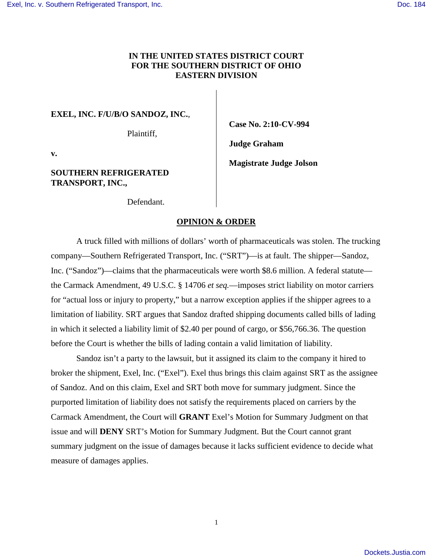# **IN THE UNITED STATES DISTRICT COURT FOR THE SOUTHERN DISTRICT OF OHIO EASTERN DIVISION**

## **EXEL, INC. F/U/B/O SANDOZ, INC.**,

Plaintiff,

**Case No. 2:10-CV-994** 

**Judge Graham** 

**v.** 

## **SOUTHERN REFRIGERATED TRANSPORT, INC.,**

**Magistrate Judge Jolson** 

Defendant.

# **OPINION & ORDER**

A truck filled with millions of dollars' worth of pharmaceuticals was stolen. The trucking company—Southern Refrigerated Transport, Inc. ("SRT")—is at fault. The shipper—Sandoz, Inc. ("Sandoz")—claims that the pharmaceuticals were worth \$8.6 million. A federal statute the Carmack Amendment, 49 U.S.C. § 14706 *et seq.*—imposes strict liability on motor carriers for "actual loss or injury to property," but a narrow exception applies if the shipper agrees to a limitation of liability. SRT argues that Sandoz drafted shipping documents called bills of lading in which it selected a liability limit of \$2.40 per pound of cargo, or \$56,766.36. The question before the Court is whether the bills of lading contain a valid limitation of liability.

Sandoz isn't a party to the lawsuit, but it assigned its claim to the company it hired to broker the shipment, Exel, Inc. ("Exel"). Exel thus brings this claim against SRT as the assignee of Sandoz. And on this claim, Exel and SRT both move for summary judgment. Since the purported limitation of liability does not satisfy the requirements placed on carriers by the Carmack Amendment, the Court will **GRANT** Exel's Motion for Summary Judgment on that issue and will **DENY** SRT's Motion for Summary Judgment. But the Court cannot grant summary judgment on the issue of damages because it lacks sufficient evidence to decide what measure of damages applies.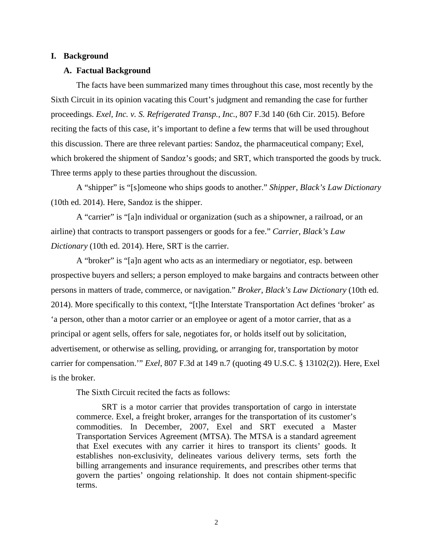#### **I. Background**

#### **A. Factual Background**

The facts have been summarized many times throughout this case, most recently by the Sixth Circuit in its opinion vacating this Court's judgment and remanding the case for further proceedings. *Exel, Inc. v. S. Refrigerated Transp., Inc.*, 807 F.3d 140 (6th Cir. 2015). Before reciting the facts of this case, it's important to define a few terms that will be used throughout this discussion. There are three relevant parties: Sandoz, the pharmaceutical company; Exel, which brokered the shipment of Sandoz's goods; and SRT, which transported the goods by truck. Three terms apply to these parties throughout the discussion.

 A "shipper" is "[s]omeone who ships goods to another." *Shipper*, *Black's Law Dictionary*  (10th ed. 2014). Here, Sandoz is the shipper.

A "carrier" is "[a]n individual or organization (such as a shipowner, a railroad, or an airline) that contracts to transport passengers or goods for a fee." *Carrier*, *Black's Law Dictionary* (10th ed. 2014). Here, SRT is the carrier.

A "broker" is "[a]n agent who acts as an intermediary or negotiator, esp. between prospective buyers and sellers; a person employed to make bargains and contracts between other persons in matters of trade, commerce, or navigation." *Broker*, *Black's Law Dictionary* (10th ed. 2014). More specifically to this context, "[t]he Interstate Transportation Act defines 'broker' as 'a person, other than a motor carrier or an employee or agent of a motor carrier, that as a principal or agent sells, offers for sale, negotiates for, or holds itself out by solicitation, advertisement, or otherwise as selling, providing, or arranging for, transportation by motor carrier for compensation.'" *Exel*, 807 F.3d at 149 n.7 (quoting 49 U.S.C. § 13102(2)). Here, Exel is the broker.

The Sixth Circuit recited the facts as follows:

SRT is a motor carrier that provides transportation of cargo in interstate commerce. Exel, a freight broker, arranges for the transportation of its customer's commodities. In December, 2007, Exel and SRT executed a Master Transportation Services Agreement (MTSA). The MTSA is a standard agreement that Exel executes with any carrier it hires to transport its clients' goods. It establishes non-exclusivity, delineates various delivery terms, sets forth the billing arrangements and insurance requirements, and prescribes other terms that govern the parties' ongoing relationship. It does not contain shipment-specific terms.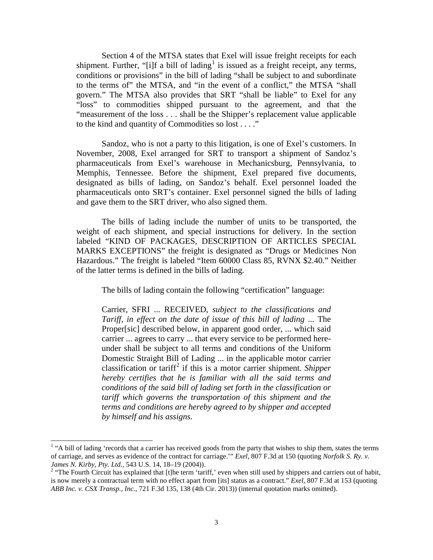Section 4 of the MTSA states that Exel will issue freight receipts for each shipment. Further, "[i]f a bill of lading<sup>[1](#page-2-0)</sup> is issued as a freight receipt, any terms, conditions or provisions" in the bill of lading "shall be subject to and subordinate to the terms of" the MTSA, and "in the event of a conflict," the MTSA "shall govern." The MTSA also provides that SRT "shall be liable" to Exel for any "loss" to commodities shipped pursuant to the agreement, and that the "measurement of the loss . . . shall be the Shipper's replacement value applicable to the kind and quantity of Commodities so lost . . . ."

Sandoz, who is not a party to this litigation, is one of Exel's customers. In November, 2008, Exel arranged for SRT to transport a shipment of Sandoz's pharmaceuticals from Exel's warehouse in Mechanicsburg, Pennsylvania, to Memphis, Tennessee. Before the shipment, Exel prepared five documents, designated as bills of lading, on Sandoz's behalf. Exel personnel loaded the pharmaceuticals onto SRT's container. Exel personnel signed the bills of lading and gave them to the SRT driver, who also signed them.

The bills of lading include the number of units to be transported, the weight of each shipment, and special instructions for delivery. In the section labeled "KIND OF PACKAGES, DESCRIPTION OF ARTICLES SPECIAL MARKS EXCEPTIONS" the freight is designated as "Drugs or Medicines Non Hazardous." The freight is labeled "Item 60000 Class 85, RVNX \$2.40." Neither of the latter terms is defined in the bills of lading.

The bills of lading contain the following "certification" language:

Carrier, SFRI ... RECEIVED, *subject to the classifications and Tariff, in effect on the date of issue of this bill of lading* ... The Proper[sic] described below, in apparent good order, ... which said carrier ... agrees to carry ... that every service to be performed hereunder shall be subject to all terms and conditions of the Uniform Domestic Straight Bill of Lading ... in the applicable motor carrier classification or tariff<sup>[2](#page-2-1)</sup> if this is a motor carrier shipment. Shipper *hereby certifies that he is familiar with all the said terms and conditions of the said bill of lading set forth in the classification or tariff which governs the transportation of this shipment and the terms and conditions are hereby agreed to by shipper and accepted by himself and his assigns.* 

<span id="page-2-0"></span><sup>&</sup>lt;sup>1</sup> "A bill of lading 'records that a carrier has received goods from the party that wishes to ship them, states the terms of carriage, and serves as evidence of the contract for carriage.'" *Exel*, 807 F.3d at 150 (quoting *Norfolk S. Ry. v. James N. Kirby, Pty. Ltd.*, 543 U.S. 14, 18–19 (2004)).

<span id="page-2-1"></span><sup>&</sup>lt;sup>2</sup> "The Fourth Circuit has explained that [t]he term 'tariff,' even when still used by shippers and carriers out of habit, is now merely a contractual term with no effect apart from [its] status as a contract." *Exel*, 807 F.3d at 153 (quoting *ABB Inc. v. CSX Transp., Inc.*, 721 F.3d 135, 138 (4th Cir. 2013)) (internal quotation marks omitted).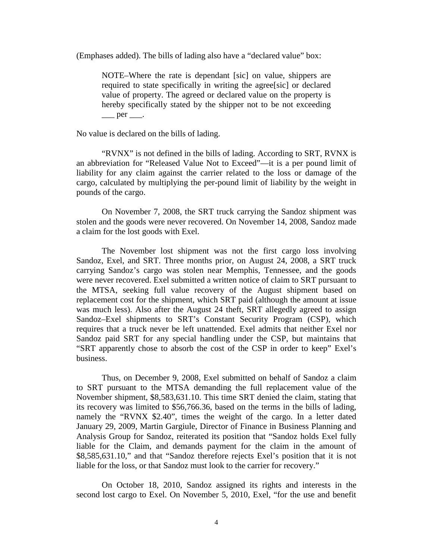(Emphases added). The bills of lading also have a "declared value" box:

NOTE–Where the rate is dependant [sic] on value, shippers are required to state specifically in writing the agree[sic] or declared value of property. The agreed or declared value on the property is hereby specifically stated by the shipper not to be not exceeding  $\rule{1em}{0.15mm}$  per  $\rule{1em}{0.15mm}$ .

No value is declared on the bills of lading.

"RVNX" is not defined in the bills of lading. According to SRT, RVNX is an abbreviation for "Released Value Not to Exceed"—it is a per pound limit of liability for any claim against the carrier related to the loss or damage of the cargo, calculated by multiplying the per-pound limit of liability by the weight in pounds of the cargo.

On November 7, 2008, the SRT truck carrying the Sandoz shipment was stolen and the goods were never recovered. On November 14, 2008, Sandoz made a claim for the lost goods with Exel.

The November lost shipment was not the first cargo loss involving Sandoz, Exel, and SRT. Three months prior, on August 24, 2008, a SRT truck carrying Sandoz's cargo was stolen near Memphis, Tennessee, and the goods were never recovered. Exel submitted a written notice of claim to SRT pursuant to the MTSA, seeking full value recovery of the August shipment based on replacement cost for the shipment, which SRT paid (although the amount at issue was much less). Also after the August 24 theft, SRT allegedly agreed to assign Sandoz–Exel shipments to SRT's Constant Security Program (CSP), which requires that a truck never be left unattended. Exel admits that neither Exel nor Sandoz paid SRT for any special handling under the CSP, but maintains that "SRT apparently chose to absorb the cost of the CSP in order to keep" Exel's business.

Thus, on December 9, 2008, Exel submitted on behalf of Sandoz a claim to SRT pursuant to the MTSA demanding the full replacement value of the November shipment, \$8,583,631.10. This time SRT denied the claim, stating that its recovery was limited to \$56,766.36, based on the terms in the bills of lading, namely the "RVNX \$2.40", times the weight of the cargo. In a letter dated January 29, 2009, Martin Gargiule, Director of Finance in Business Planning and Analysis Group for Sandoz, reiterated its position that "Sandoz holds Exel fully liable for the Claim, and demands payment for the claim in the amount of \$8,585,631.10," and that "Sandoz therefore rejects Exel's position that it is not liable for the loss, or that Sandoz must look to the carrier for recovery."

On October 18, 2010, Sandoz assigned its rights and interests in the second lost cargo to Exel. On November 5, 2010, Exel, "for the use and benefit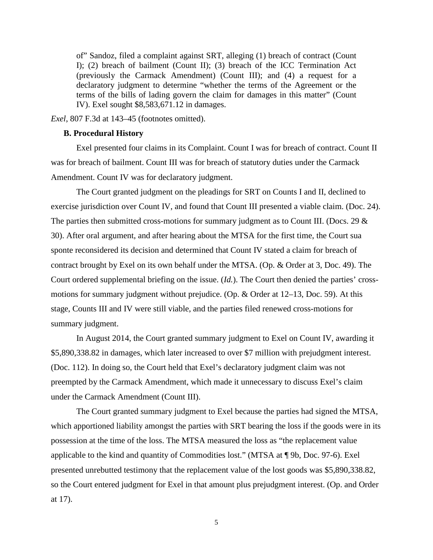of" Sandoz, filed a complaint against SRT, alleging (1) breach of contract (Count I); (2) breach of bailment (Count II); (3) breach of the ICC Termination Act (previously the Carmack Amendment) (Count III); and (4) a request for a declaratory judgment to determine "whether the terms of the Agreement or the terms of the bills of lading govern the claim for damages in this matter" (Count IV). Exel sought \$8,583,671.12 in damages.

*Exel*, 807 F.3d at 143–45 (footnotes omitted).

### **B. Procedural History**

Exel presented four claims in its Complaint. Count I was for breach of contract. Count II was for breach of bailment. Count III was for breach of statutory duties under the Carmack Amendment. Count IV was for declaratory judgment.

 The Court granted judgment on the pleadings for SRT on Counts I and II, declined to exercise jurisdiction over Count IV, and found that Count III presented a viable claim. (Doc. 24). The parties then submitted cross-motions for summary judgment as to Count III. (Docs. 29 & 30). After oral argument, and after hearing about the MTSA for the first time, the Court sua sponte reconsidered its decision and determined that Count IV stated a claim for breach of contract brought by Exel on its own behalf under the MTSA. (Op. & Order at 3, Doc. 49). The Court ordered supplemental briefing on the issue. (*Id.*). The Court then denied the parties' crossmotions for summary judgment without prejudice. (Op. & Order at 12–13, Doc. 59). At this stage, Counts III and IV were still viable, and the parties filed renewed cross-motions for summary judgment.

 In August 2014, the Court granted summary judgment to Exel on Count IV, awarding it \$5,890,338.82 in damages, which later increased to over \$7 million with prejudgment interest. (Doc. 112). In doing so, the Court held that Exel's declaratory judgment claim was not preempted by the Carmack Amendment, which made it unnecessary to discuss Exel's claim under the Carmack Amendment (Count III).

 The Court granted summary judgment to Exel because the parties had signed the MTSA, which apportioned liability amongst the parties with SRT bearing the loss if the goods were in its possession at the time of the loss. The MTSA measured the loss as "the replacement value applicable to the kind and quantity of Commodities lost." (MTSA at ¶ 9b, Doc. 97-6). Exel presented unrebutted testimony that the replacement value of the lost goods was \$5,890,338.82, so the Court entered judgment for Exel in that amount plus prejudgment interest. (Op. and Order at 17).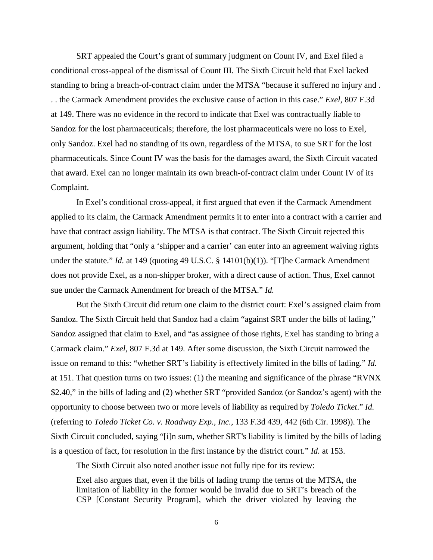SRT appealed the Court's grant of summary judgment on Count IV, and Exel filed a conditional cross-appeal of the dismissal of Count III. The Sixth Circuit held that Exel lacked standing to bring a breach-of-contract claim under the MTSA "because it suffered no injury and . . . the Carmack Amendment provides the exclusive cause of action in this case." *Exel*, 807 F.3d at 149. There was no evidence in the record to indicate that Exel was contractually liable to Sandoz for the lost pharmaceuticals; therefore, the lost pharmaceuticals were no loss to Exel, only Sandoz. Exel had no standing of its own, regardless of the MTSA, to sue SRT for the lost pharmaceuticals. Since Count IV was the basis for the damages award, the Sixth Circuit vacated that award. Exel can no longer maintain its own breach-of-contract claim under Count IV of its Complaint.

In Exel's conditional cross-appeal, it first argued that even if the Carmack Amendment applied to its claim, the Carmack Amendment permits it to enter into a contract with a carrier and have that contract assign liability. The MTSA is that contract. The Sixth Circuit rejected this argument, holding that "only a 'shipper and a carrier' can enter into an agreement waiving rights under the statute." *Id.* at 149 (quoting 49 U.S.C. § 14101(b)(1)). "[T]he Carmack Amendment does not provide Exel, as a non-shipper broker, with a direct cause of action. Thus, Exel cannot sue under the Carmack Amendment for breach of the MTSA." *Id.*

But the Sixth Circuit did return one claim to the district court: Exel's assigned claim from Sandoz. The Sixth Circuit held that Sandoz had a claim "against SRT under the bills of lading," Sandoz assigned that claim to Exel, and "as assignee of those rights, Exel has standing to bring a Carmack claim." *Exel*, 807 F.3d at 149. After some discussion, the Sixth Circuit narrowed the issue on remand to this: "whether SRT's liability is effectively limited in the bills of lading." *Id.*  at 151. That question turns on two issues: (1) the meaning and significance of the phrase "RVNX \$2.40," in the bills of lading and (2) whether SRT "provided Sandoz (or Sandoz's agent) with the opportunity to choose between two or more levels of liability as required by *Toledo Ticket*." *Id.* (referring to *Toledo Ticket Co. v. Roadway Exp., Inc.*, 133 F.3d 439, 442 (6th Cir. 1998)). The Sixth Circuit concluded, saying "[i]n sum, whether SRT's liability is limited by the bills of lading is a question of fact, for resolution in the first instance by the district court." *Id.* at 153.

The Sixth Circuit also noted another issue not fully ripe for its review:

Exel also argues that, even if the bills of lading trump the terms of the MTSA, the limitation of liability in the former would be invalid due to SRT's breach of the CSP [Constant Security Program], which the driver violated by leaving the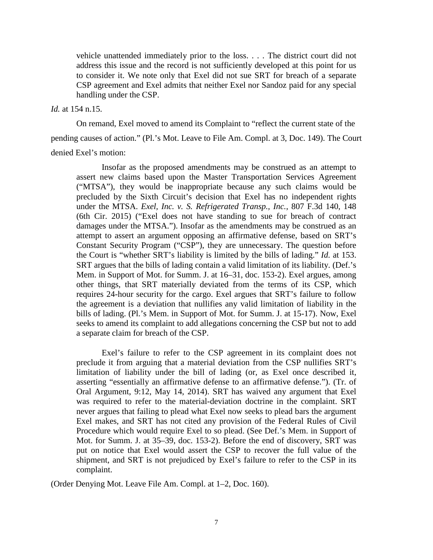vehicle unattended immediately prior to the loss. . . . The district court did not address this issue and the record is not sufficiently developed at this point for us to consider it. We note only that Exel did not sue SRT for breach of a separate CSP agreement and Exel admits that neither Exel nor Sandoz paid for any special handling under the CSP.

## *Id.* at 154 n.15.

On remand, Exel moved to amend its Complaint to "reflect the current state of the

pending causes of action." (Pl.'s Mot. Leave to File Am. Compl. at 3, Doc. 149). The Court denied Exel's motion:

Insofar as the proposed amendments may be construed as an attempt to assert new claims based upon the Master Transportation Services Agreement ("MTSA"), they would be inappropriate because any such claims would be precluded by the Sixth Circuit's decision that Exel has no independent rights under the MTSA. *Exel, Inc. v. S. Refrigerated Transp., Inc.*, 807 F.3d 140, 148 (6th Cir. 2015) ("Exel does not have standing to sue for breach of contract damages under the MTSA."). Insofar as the amendments may be construed as an attempt to assert an argument opposing an affirmative defense, based on SRT's Constant Security Program ("CSP"), they are unnecessary. The question before the Court is "whether SRT's liability is limited by the bills of lading." *Id.* at 153. SRT argues that the bills of lading contain a valid limitation of its liability. (Def.'s Mem. in Support of Mot. for Summ. J. at 16–31, doc. 153-2). Exel argues, among other things, that SRT materially deviated from the terms of its CSP, which requires 24-hour security for the cargo. Exel argues that SRT's failure to follow the agreement is a deviation that nullifies any valid limitation of liability in the bills of lading. (Pl.'s Mem. in Support of Mot. for Summ. J. at 15-17). Now, Exel seeks to amend its complaint to add allegations concerning the CSP but not to add a separate claim for breach of the CSP.

Exel's failure to refer to the CSP agreement in its complaint does not preclude it from arguing that a material deviation from the CSP nullifies SRT's limitation of liability under the bill of lading (or, as Exel once described it, asserting "essentially an affirmative defense to an affirmative defense."). (Tr. of Oral Argument, 9:12, May 14, 2014). SRT has waived any argument that Exel was required to refer to the material-deviation doctrine in the complaint. SRT never argues that failing to plead what Exel now seeks to plead bars the argument Exel makes, and SRT has not cited any provision of the Federal Rules of Civil Procedure which would require Exel to so plead. (See Def.'s Mem. in Support of Mot. for Summ. J. at 35–39, doc. 153-2). Before the end of discovery, SRT was put on notice that Exel would assert the CSP to recover the full value of the shipment, and SRT is not prejudiced by Exel's failure to refer to the CSP in its complaint.

(Order Denying Mot. Leave File Am. Compl. at 1–2, Doc. 160).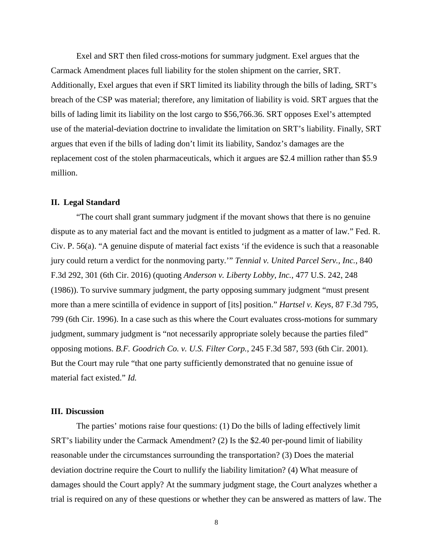Exel and SRT then filed cross-motions for summary judgment. Exel argues that the Carmack Amendment places full liability for the stolen shipment on the carrier, SRT. Additionally, Exel argues that even if SRT limited its liability through the bills of lading, SRT's breach of the CSP was material; therefore, any limitation of liability is void. SRT argues that the bills of lading limit its liability on the lost cargo to \$56,766.36. SRT opposes Exel's attempted use of the material-deviation doctrine to invalidate the limitation on SRT's liability. Finally, SRT argues that even if the bills of lading don't limit its liability, Sandoz's damages are the replacement cost of the stolen pharmaceuticals, which it argues are \$2.4 million rather than \$5.9 million.

## **II. Legal Standard**

 "The court shall grant summary judgment if the movant shows that there is no genuine dispute as to any material fact and the movant is entitled to judgment as a matter of law." Fed. R. Civ. P. 56(a). "A genuine dispute of material fact exists 'if the evidence is such that a reasonable jury could return a verdict for the nonmoving party.'" *Tennial v. United Parcel Serv., Inc.*, 840 F.3d 292, 301 (6th Cir. 2016) (quoting *Anderson v. Liberty Lobby, Inc.*, 477 U.S. 242, 248 (1986)). To survive summary judgment, the party opposing summary judgment "must present more than a mere scintilla of evidence in support of [its] position." *Hartsel v. Keys*, 87 F.3d 795, 799 (6th Cir. 1996). In a case such as this where the Court evaluates cross-motions for summary judgment, summary judgment is "not necessarily appropriate solely because the parties filed" opposing motions. *B.F. Goodrich Co. v. U.S. Filter Corp.*, 245 F.3d 587, 593 (6th Cir. 2001). But the Court may rule "that one party sufficiently demonstrated that no genuine issue of material fact existed." *Id.*

### **III. Discussion**

The parties' motions raise four questions: (1) Do the bills of lading effectively limit SRT's liability under the Carmack Amendment? (2) Is the \$2.40 per-pound limit of liability reasonable under the circumstances surrounding the transportation? (3) Does the material deviation doctrine require the Court to nullify the liability limitation? (4) What measure of damages should the Court apply? At the summary judgment stage, the Court analyzes whether a trial is required on any of these questions or whether they can be answered as matters of law. The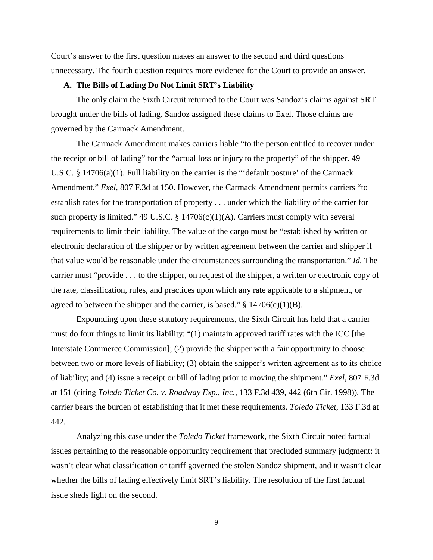Court's answer to the first question makes an answer to the second and third questions unnecessary. The fourth question requires more evidence for the Court to provide an answer.

### **A. The Bills of Lading Do Not Limit SRT's Liability**

The only claim the Sixth Circuit returned to the Court was Sandoz's claims against SRT brought under the bills of lading. Sandoz assigned these claims to Exel. Those claims are governed by the Carmack Amendment.

The Carmack Amendment makes carriers liable "to the person entitled to recover under the receipt or bill of lading" for the "actual loss or injury to the property" of the shipper. 49 U.S.C. § 14706(a)(1). Full liability on the carrier is the "'default posture' of the Carmack Amendment." *Exel*, 807 F.3d at 150. However, the Carmack Amendment permits carriers "to establish rates for the transportation of property . . . under which the liability of the carrier for such property is limited." 49 U.S.C. § 14706(c)(1)(A). Carriers must comply with several requirements to limit their liability. The value of the cargo must be "established by written or electronic declaration of the shipper or by written agreement between the carrier and shipper if that value would be reasonable under the circumstances surrounding the transportation." *Id.* The carrier must "provide . . . to the shipper, on request of the shipper, a written or electronic copy of the rate, classification, rules, and practices upon which any rate applicable to a shipment, or agreed to between the shipper and the carrier, is based."  $\S$  14706(c)(1)(B).

Expounding upon these statutory requirements, the Sixth Circuit has held that a carrier must do four things to limit its liability: "(1) maintain approved tariff rates with the ICC [the Interstate Commerce Commission]; (2) provide the shipper with a fair opportunity to choose between two or more levels of liability; (3) obtain the shipper's written agreement as to its choice of liability; and (4) issue a receipt or bill of lading prior to moving the shipment." *Exel*, 807 F.3d at 151 (citing *Toledo Ticket Co. v. Roadway Exp., Inc.*, 133 F.3d 439, 442 (6th Cir. 1998))*.* The carrier bears the burden of establishing that it met these requirements. *Toledo Ticket*, 133 F.3d at 442.

Analyzing this case under the *Toledo Ticket* framework, the Sixth Circuit noted factual issues pertaining to the reasonable opportunity requirement that precluded summary judgment: it wasn't clear what classification or tariff governed the stolen Sandoz shipment, and it wasn't clear whether the bills of lading effectively limit SRT's liability. The resolution of the first factual issue sheds light on the second.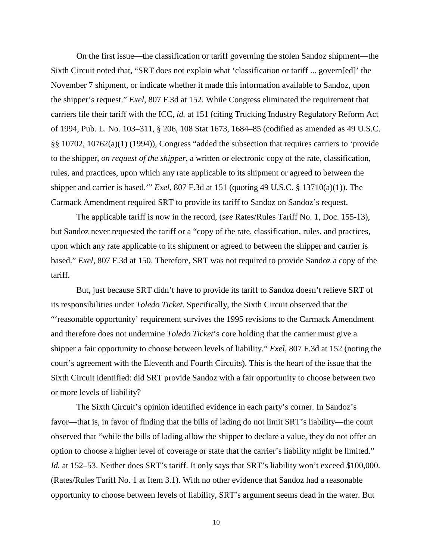On the first issue—the classification or tariff governing the stolen Sandoz shipment—the Sixth Circuit noted that, "SRT does not explain what 'classification or tariff ... govern[ed]' the November 7 shipment, or indicate whether it made this information available to Sandoz, upon the shipper's request." *Exel*, 807 F.3d at 152. While Congress eliminated the requirement that carriers file their tariff with the ICC, *id.* at 151 (citing Trucking Industry Regulatory Reform Act of 1994, Pub. L. No. 103–311, § 206, 108 Stat 1673, 1684–85 (codified as amended as 49 U.S.C. §§ 10702, 10762(a)(1) (1994)), Congress "added the subsection that requires carriers to 'provide to the shipper, *on request of the shipper,* a written or electronic copy of the rate, classification, rules, and practices, upon which any rate applicable to its shipment or agreed to between the shipper and carrier is based.'" *Exel*, 807 F.3d at 151 (quoting 49 U.S.C. § 13710(a)(1)). The Carmack Amendment required SRT to provide its tariff to Sandoz on Sandoz's request.

The applicable tariff is now in the record, (*see* Rates/Rules Tariff No. 1, Doc. 155-13), but Sandoz never requested the tariff or a "copy of the rate, classification, rules, and practices, upon which any rate applicable to its shipment or agreed to between the shipper and carrier is based." *Exel*, 807 F.3d at 150. Therefore, SRT was not required to provide Sandoz a copy of the tariff.

But, just because SRT didn't have to provide its tariff to Sandoz doesn't relieve SRT of its responsibilities under *Toledo Ticket*. Specifically, the Sixth Circuit observed that the "'reasonable opportunity' requirement survives the 1995 revisions to the Carmack Amendment and therefore does not undermine *Toledo Ticket*'s core holding that the carrier must give a shipper a fair opportunity to choose between levels of liability." *Exel*, 807 F.3d at 152 (noting the court's agreement with the Eleventh and Fourth Circuits). This is the heart of the issue that the Sixth Circuit identified: did SRT provide Sandoz with a fair opportunity to choose between two or more levels of liability?

The Sixth Circuit's opinion identified evidence in each party's corner. In Sandoz's favor—that is, in favor of finding that the bills of lading do not limit SRT's liability—the court observed that "while the bills of lading allow the shipper to declare a value, they do not offer an option to choose a higher level of coverage or state that the carrier's liability might be limited." *Id.* at 152–53. Neither does SRT's tariff. It only says that SRT's liability won't exceed \$100,000. (Rates/Rules Tariff No. 1 at Item 3.1). With no other evidence that Sandoz had a reasonable opportunity to choose between levels of liability, SRT's argument seems dead in the water. But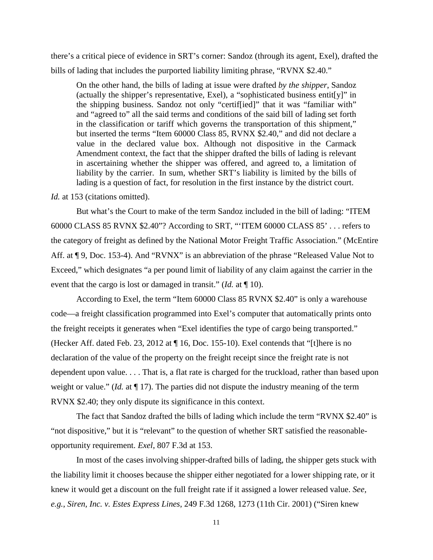there's a critical piece of evidence in SRT's corner: Sandoz (through its agent, Exel), drafted the bills of lading that includes the purported liability limiting phrase, "RVNX \$2.40."

On the other hand, the bills of lading at issue were drafted *by the shipper*, Sandoz (actually the shipper's representative, Exel), a "sophisticated business entit[y]" in the shipping business. Sandoz not only "certif[ied]" that it was "familiar with" and "agreed to" all the said terms and conditions of the said bill of lading set forth in the classification or tariff which governs the transportation of this shipment," but inserted the terms "Item 60000 Class 85, RVNX \$2.40," and did not declare a value in the declared value box. Although not dispositive in the Carmack Amendment context, the fact that the shipper drafted the bills of lading is relevant in ascertaining whether the shipper was offered, and agreed to, a limitation of liability by the carrier. In sum, whether SRT's liability is limited by the bills of lading is a question of fact, for resolution in the first instance by the district court.

*Id.* at 153 (citations omitted).

 But what's the Court to make of the term Sandoz included in the bill of lading: "ITEM 60000 CLASS 85 RVNX \$2.40"? According to SRT, "'ITEM 60000 CLASS 85' . . . refers to the category of freight as defined by the National Motor Freight Traffic Association." (McEntire Aff. at  $\P$  9, Doc. 153-4). And "RVNX" is an abbreviation of the phrase "Released Value Not to Exceed," which designates "a per pound limit of liability of any claim against the carrier in the event that the cargo is lost or damaged in transit." (*Id.* at ¶ 10).

 According to Exel, the term "Item 60000 Class 85 RVNX \$2.40" is only a warehouse code—a freight classification programmed into Exel's computer that automatically prints onto the freight receipts it generates when "Exel identifies the type of cargo being transported." (Hecker Aff. dated Feb. 23, 2012 at ¶ 16, Doc. 155-10). Exel contends that "[t]here is no declaration of the value of the property on the freight receipt since the freight rate is not dependent upon value. . . . That is, a flat rate is charged for the truckload, rather than based upon weight or value." (*Id.* at ¶ 17). The parties did not dispute the industry meaning of the term RVNX \$2.40; they only dispute its significance in this context.

 The fact that Sandoz drafted the bills of lading which include the term "RVNX \$2.40" is "not dispositive," but it is "relevant" to the question of whether SRT satisfied the reasonableopportunity requirement. *Exel*, 807 F.3d at 153.

In most of the cases involving shipper-drafted bills of lading, the shipper gets stuck with the liability limit it chooses because the shipper either negotiated for a lower shipping rate, or it knew it would get a discount on the full freight rate if it assigned a lower released value. *See, e.g.*, *Siren, Inc. v. Estes Express Lines*, 249 F.3d 1268, 1273 (11th Cir. 2001) ("Siren knew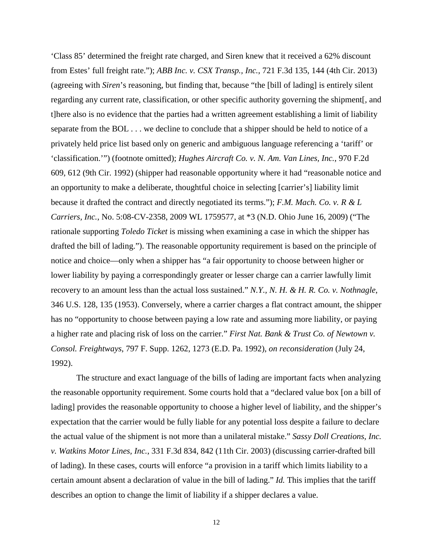'Class 85' determined the freight rate charged, and Siren knew that it received a 62% discount from Estes' full freight rate."); *ABB Inc. v. CSX Transp., Inc.*, 721 F.3d 135, 144 (4th Cir. 2013) (agreeing with *Siren*'s reasoning, but finding that, because "the [bill of lading] is entirely silent regarding any current rate, classification, or other specific authority governing the shipment[, and t]here also is no evidence that the parties had a written agreement establishing a limit of liability separate from the BOL . . . we decline to conclude that a shipper should be held to notice of a privately held price list based only on generic and ambiguous language referencing a 'tariff' or 'classification.'") (footnote omitted); *Hughes Aircraft Co. v. N. Am. Van Lines, Inc.*, 970 F.2d 609, 612 (9th Cir. 1992) (shipper had reasonable opportunity where it had "reasonable notice and an opportunity to make a deliberate, thoughtful choice in selecting [carrier's] liability limit because it drafted the contract and directly negotiated its terms."); *F.M. Mach. Co. v. R & L Carriers, Inc.*, No. 5:08-CV-2358, 2009 WL 1759577, at \*3 (N.D. Ohio June 16, 2009) ("The rationale supporting *Toledo Ticket* is missing when examining a case in which the shipper has drafted the bill of lading."). The reasonable opportunity requirement is based on the principle of notice and choice—only when a shipper has "a fair opportunity to choose between higher or lower liability by paying a correspondingly greater or lesser charge can a carrier lawfully limit recovery to an amount less than the actual loss sustained." *N.Y., N. H. & H. R. Co. v. Nothnagle*, 346 U.S. 128, 135 (1953). Conversely, where a carrier charges a flat contract amount, the shipper has no "opportunity to choose between paying a low rate and assuming more liability, or paying a higher rate and placing risk of loss on the carrier." *First Nat. Bank & Trust Co. of Newtown v. Consol. Freightways*, 797 F. Supp. 1262, 1273 (E.D. Pa. 1992), *on reconsideration* (July 24, 1992).

The structure and exact language of the bills of lading are important facts when analyzing the reasonable opportunity requirement. Some courts hold that a "declared value box [on a bill of lading] provides the reasonable opportunity to choose a higher level of liability, and the shipper's expectation that the carrier would be fully liable for any potential loss despite a failure to declare the actual value of the shipment is not more than a unilateral mistake." *Sassy Doll Creations, Inc. v. Watkins Motor Lines, Inc.*, 331 F.3d 834, 842 (11th Cir. 2003) (discussing carrier-drafted bill of lading). In these cases, courts will enforce "a provision in a tariff which limits liability to a certain amount absent a declaration of value in the bill of lading." *Id.* This implies that the tariff describes an option to change the limit of liability if a shipper declares a value.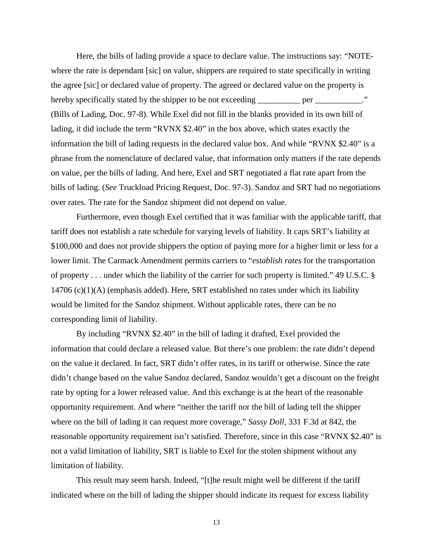Here, the bills of lading provide a space to declare value. The instructions say: "NOTEwhere the rate is dependant [sic] on value, shippers are required to state specifically in writing the agree [sic] or declared value of property. The agreed or declared value on the property is hereby specifically stated by the shipper to be not exceeding \_\_\_\_\_\_\_\_\_ per \_\_\_\_\_\_\_\_\_." (Bills of Lading, Doc. 97-8). While Exel did not fill in the blanks provided in its own bill of lading, it did include the term "RVNX \$2.40" in the box above, which states exactly the information the bill of lading requests in the declared value box. And while "RVNX \$2.40" is a phrase from the nomenclature of declared value, that information only matters if the rate depends on value, per the bills of lading. And here, Exel and SRT negotiated a flat rate apart from the bills of lading. (*See* Truckload Pricing Request, Doc. 97-3). Sandoz and SRT had no negotiations over rates. The rate for the Sandoz shipment did not depend on value.

Furthermore, even though Exel certified that it was familiar with the applicable tariff, that tariff does not establish a rate schedule for varying levels of liability. It caps SRT's liability at \$100,000 and does not provide shippers the option of paying more for a higher limit or less for a lower limit. The Carmack Amendment permits carriers to "*establish rates* for the transportation of property . . . under which the liability of the carrier for such property is limited." 49 U.S.C. § 14706 (c)(1)(A) (emphasis added). Here, SRT established no rates under which its liability would be limited for the Sandoz shipment. Without applicable rates, there can be no corresponding limit of liability.

 By including "RVNX \$2.40" in the bill of lading it drafted, Exel provided the information that could declare a released value. But there's one problem: the rate didn't depend on the value it declared. In fact, SRT didn't offer rates, in its tariff or otherwise. Since the rate didn't change based on the value Sandoz declared, Sandoz wouldn't get a discount on the freight rate by opting for a lower released value. And this exchange is at the heart of the reasonable opportunity requirement. And where "neither the tariff nor the bill of lading tell the shipper where on the bill of lading it can request more coverage," *Sassy Doll*, 331 F.3d at 842, the reasonable opportunity requirement isn't satisfied. Therefore, since in this case "RVNX \$2.40" is not a valid limitation of liability, SRT is liable to Exel for the stolen shipment without any limitation of liability.

 This result may seem harsh. Indeed, "[t]he result might well be different if the tariff indicated where on the bill of lading the shipper should indicate its request for excess liability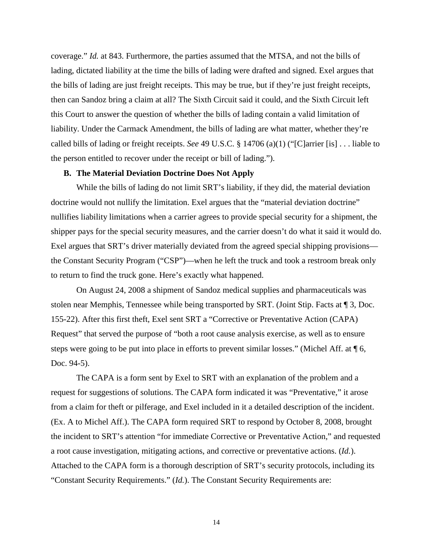coverage." *Id.* at 843. Furthermore, the parties assumed that the MTSA, and not the bills of lading, dictated liability at the time the bills of lading were drafted and signed. Exel argues that the bills of lading are just freight receipts. This may be true, but if they're just freight receipts, then can Sandoz bring a claim at all? The Sixth Circuit said it could, and the Sixth Circuit left this Court to answer the question of whether the bills of lading contain a valid limitation of liability. Under the Carmack Amendment, the bills of lading are what matter, whether they're called bills of lading or freight receipts. *See* 49 U.S.C. § 14706 (a)(1) ("[C]arrier [is] . . . liable to the person entitled to recover under the receipt or bill of lading.").

#### **B. The Material Deviation Doctrine Does Not Apply**

While the bills of lading do not limit SRT's liability, if they did, the material deviation doctrine would not nullify the limitation. Exel argues that the "material deviation doctrine" nullifies liability limitations when a carrier agrees to provide special security for a shipment, the shipper pays for the special security measures, and the carrier doesn't do what it said it would do. Exel argues that SRT's driver materially deviated from the agreed special shipping provisions the Constant Security Program ("CSP")—when he left the truck and took a restroom break only to return to find the truck gone. Here's exactly what happened.

 On August 24, 2008 a shipment of Sandoz medical supplies and pharmaceuticals was stolen near Memphis, Tennessee while being transported by SRT. (Joint Stip. Facts at ¶ 3, Doc. 155-22). After this first theft, Exel sent SRT a "Corrective or Preventative Action (CAPA) Request" that served the purpose of "both a root cause analysis exercise, as well as to ensure steps were going to be put into place in efforts to prevent similar losses." (Michel Aff. at ¶ 6, Doc. 94-5).

The CAPA is a form sent by Exel to SRT with an explanation of the problem and a request for suggestions of solutions. The CAPA form indicated it was "Preventative," it arose from a claim for theft or pilferage, and Exel included in it a detailed description of the incident. (Ex. A to Michel Aff.). The CAPA form required SRT to respond by October 8, 2008, brought the incident to SRT's attention "for immediate Corrective or Preventative Action," and requested a root cause investigation, mitigating actions, and corrective or preventative actions. (*Id.*). Attached to the CAPA form is a thorough description of SRT's security protocols, including its "Constant Security Requirements." (*Id.*). The Constant Security Requirements are: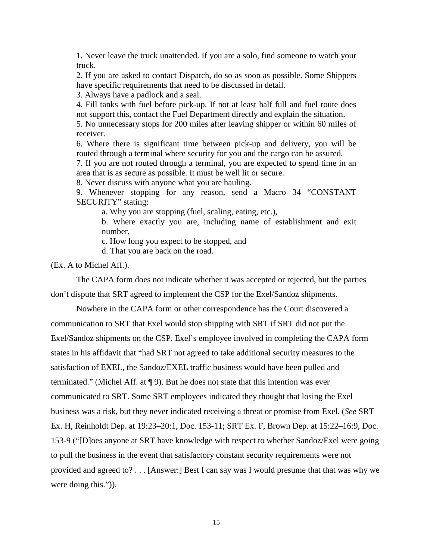1. Never leave the truck unattended. If you are a solo, find someone to watch your truck.

2. If you are asked to contact Dispatch, do so as soon as possible. Some Shippers have specific requirements that need to be discussed in detail.

3. Always have a padlock and a seal.

4. Fill tanks with fuel before pick-up. If not at least half full and fuel route does not support this, contact the Fuel Department directly and explain the situation.

5. No unnecessary stops for 200 miles after leaving shipper or within 60 miles of receiver.

6. Where there is significant time between pick-up and delivery, you will be routed through a terminal where security for you and the cargo can be assured.

7. If you are not routed through a terminal, you are expected to spend time in an area that is as secure as possible. It must be well lit or secure.

8. Never discuss with anyone what you are hauling.

9. Whenever stopping for any reason, send a Macro 34 "CONSTANT SECURITY" stating:

a. Why you are stopping (fuel, scaling, eating, etc.),

b. Where exactly you are, including name of establishment and exit number,

c. How long you expect to be stopped, and

d. That you are back on the road.

(Ex. A to Michel Aff.).

The CAPA form does not indicate whether it was accepted or rejected, but the parties

don't dispute that SRT agreed to implement the CSP for the Exel/Sandoz shipments.

Nowhere in the CAPA form or other correspondence has the Court discovered a communication to SRT that Exel would stop shipping with SRT if SRT did not put the Exel/Sandoz shipments on the CSP. Exel's employee involved in completing the CAPA form states in his affidavit that "had SRT not agreed to take additional security measures to the satisfaction of EXEL, the Sandoz/EXEL traffic business would have been pulled and terminated." (Michel Aff. at ¶ 9). But he does not state that this intention was ever communicated to SRT. Some SRT employees indicated they thought that losing the Exel business was a risk, but they never indicated receiving a threat or promise from Exel. (*See* SRT Ex. H, Reinholdt Dep. at 19:23–20:1, Doc. 153-11; SRT Ex. F, Brown Dep. at 15:22–16:9, Doc. 153-9 ("[D]oes anyone at SRT have knowledge with respect to whether Sandoz/Exel were going to pull the business in the event that satisfactory constant security requirements were not provided and agreed to? . . . [Answer:] Best I can say was I would presume that that was why we were doing this.")).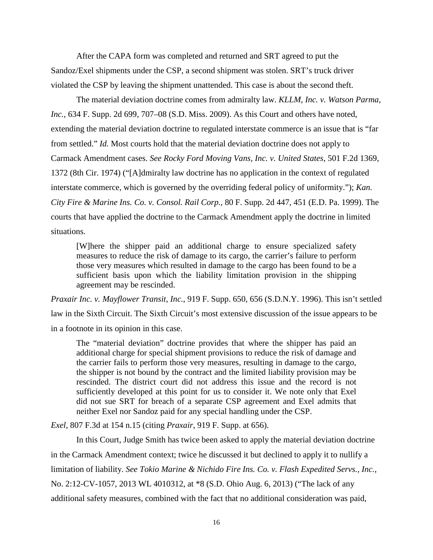After the CAPA form was completed and returned and SRT agreed to put the Sandoz/Exel shipments under the CSP, a second shipment was stolen. SRT's truck driver violated the CSP by leaving the shipment unattended. This case is about the second theft.

 The material deviation doctrine comes from admiralty law. *KLLM, Inc. v. Watson Parma, Inc.*, 634 F. Supp. 2d 699, 707–08 (S.D. Miss. 2009). As this Court and others have noted, extending the material deviation doctrine to regulated interstate commerce is an issue that is "far from settled." *Id.* Most courts hold that the material deviation doctrine does not apply to Carmack Amendment cases. *See Rocky Ford Moving Vans, Inc. v. United States*, 501 F.2d 1369, 1372 (8th Cir. 1974) ("[A]dmiralty law doctrine has no application in the context of regulated interstate commerce, which is governed by the overriding federal policy of uniformity."); *Kan. City Fire & Marine Ins. Co. v. Consol. Rail Corp.*, 80 F. Supp. 2d 447, 451 (E.D. Pa. 1999). The courts that have applied the doctrine to the Carmack Amendment apply the doctrine in limited situations.

[W]here the shipper paid an additional charge to ensure specialized safety measures to reduce the risk of damage to its cargo, the carrier's failure to perform those very measures which resulted in damage to the cargo has been found to be a sufficient basis upon which the liability limitation provision in the shipping agreement may be rescinded.

*Praxair Inc. v. Mayflower Transit, Inc.*, 919 F. Supp. 650, 656 (S.D.N.Y. 1996). This isn't settled law in the Sixth Circuit. The Sixth Circuit's most extensive discussion of the issue appears to be in a footnote in its opinion in this case.

The "material deviation" doctrine provides that where the shipper has paid an additional charge for special shipment provisions to reduce the risk of damage and the carrier fails to perform those very measures, resulting in damage to the cargo, the shipper is not bound by the contract and the limited liability provision may be rescinded. The district court did not address this issue and the record is not sufficiently developed at this point for us to consider it. We note only that Exel did not sue SRT for breach of a separate CSP agreement and Exel admits that neither Exel nor Sandoz paid for any special handling under the CSP.

*Exel*, 807 F.3d at 154 n.15 (citing *Praxair*[, 919 F. Supp. at 656\).](https://1.next.westlaw.com/Link/Document/FullText?findType=Y&serNum=1996054702&pubNum=0000345&originatingDoc=I418b470683f911e5b4bafa136b480ad2&refType=RP&fi=co_pp_sp_345_656&originationContext=document&transitionType=DocumentItem&contextData=(sc.Default)#co_pp_sp_345_656)

 In this Court, Judge Smith has twice been asked to apply the material deviation doctrine in the Carmack Amendment context; twice he discussed it but declined to apply it to nullify a limitation of liability. *See Tokio Marine & Nichido Fire Ins. Co. v. Flash Expedited Servs., Inc.*, No. 2:12-CV-1057, 2013 WL 4010312, at \*8 (S.D. Ohio Aug. 6, 2013) ("The lack of any additional safety measures, combined with the fact that no additional consideration was paid,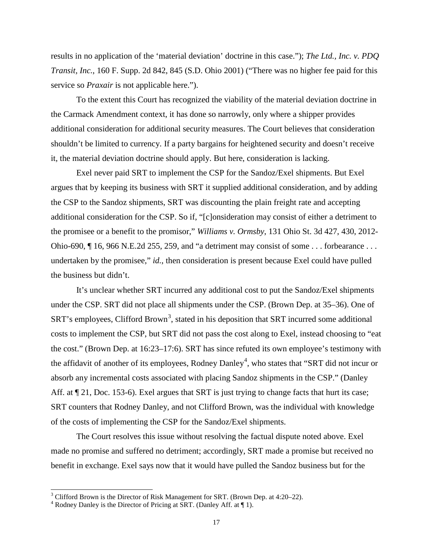results in no application of the 'material deviation' doctrine in this case."); *The Ltd., Inc. v. PDQ Transit, Inc.*, 160 F. Supp. 2d 842, 845 (S.D. Ohio 2001) ("There was no higher fee paid for this service so *Praxair* is not applicable here.").

 To the extent this Court has recognized the viability of the material deviation doctrine in the Carmack Amendment context, it has done so narrowly, only where a shipper provides additional consideration for additional security measures. The Court believes that consideration shouldn't be limited to currency. If a party bargains for heightened security and doesn't receive it, the material deviation doctrine should apply. But here, consideration is lacking.

 Exel never paid SRT to implement the CSP for the Sandoz/Exel shipments. But Exel argues that by keeping its business with SRT it supplied additional consideration, and by adding the CSP to the Sandoz shipments, SRT was discounting the plain freight rate and accepting additional consideration for the CSP. So if, "[c]onsideration may consist of either a detriment to the promisee or a benefit to the promisor," *Williams v. Ormsby*, 131 Ohio St. 3d 427, 430, 2012- Ohio-690, ¶ 16, 966 N.E.2d 255, 259, and "a detriment may consist of some . . . forbearance . . . undertaken by the promisee," *id.*, then consideration is present because Exel could have pulled the business but didn't.

 It's unclear whether SRT incurred any additional cost to put the Sandoz/Exel shipments under the CSP. SRT did not place all shipments under the CSP. (Brown Dep. at 35–36). One of  $SRT$ 's employees, Clifford Brown<sup>[3](#page-16-0)</sup>, stated in his deposition that  $SRT$  incurred some additional costs to implement the CSP, but SRT did not pass the cost along to Exel, instead choosing to "eat the cost." (Brown Dep. at 16:23–17:6). SRT has since refuted its own employee's testimony with the affidavit of another of its employees, Rodney Danley<sup>[4](#page-16-1)</sup>, who states that "SRT did not incur or absorb any incremental costs associated with placing Sandoz shipments in the CSP." (Danley Aff. at  $\P$  21, Doc. 153-6). Exel argues that SRT is just trying to change facts that hurt its case; SRT counters that Rodney Danley, and not Clifford Brown, was the individual with knowledge of the costs of implementing the CSP for the Sandoz/Exel shipments.

 The Court resolves this issue without resolving the factual dispute noted above. Exel made no promise and suffered no detriment; accordingly, SRT made a promise but received no benefit in exchange. Exel says now that it would have pulled the Sandoz business but for the

-

<span id="page-16-0"></span> $3$  Clifford Brown is the Director of Risk Management for SRT. (Brown Dep. at 4:20–22).

<span id="page-16-1"></span> $4$  Rodney Danley is the Director of Pricing at SRT. (Danley Aff. at  $\P$  1).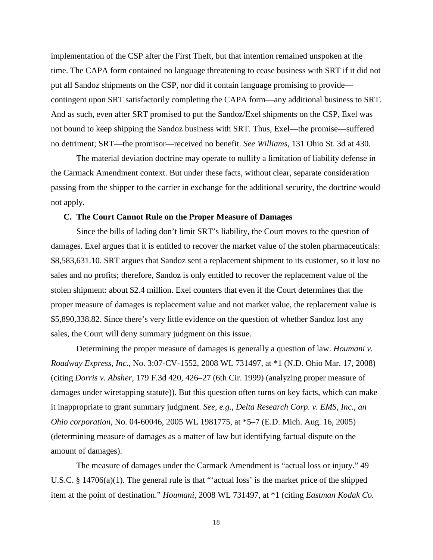implementation of the CSP after the First Theft, but that intention remained unspoken at the time. The CAPA form contained no language threatening to cease business with SRT if it did not put all Sandoz shipments on the CSP, nor did it contain language promising to provide contingent upon SRT satisfactorily completing the CAPA form—any additional business to SRT. And as such, even after SRT promised to put the Sandoz/Exel shipments on the CSP, Exel was not bound to keep shipping the Sandoz business with SRT. Thus, Exel—the promise—suffered no detriment; SRT—the promisor—received no benefit. *See Williams*, 131 Ohio St. 3d at 430.

The material deviation doctrine may operate to nullify a limitation of liability defense in the Carmack Amendment context. But under these facts, without clear, separate consideration passing from the shipper to the carrier in exchange for the additional security, the doctrine would not apply.

#### **C. The Court Cannot Rule on the Proper Measure of Damages**

Since the bills of lading don't limit SRT's liability, the Court moves to the question of damages. Exel argues that it is entitled to recover the market value of the stolen pharmaceuticals: \$8,583,631.10. SRT argues that Sandoz sent a replacement shipment to its customer, so it lost no sales and no profits; therefore, Sandoz is only entitled to recover the replacement value of the stolen shipment: about \$2.4 million. Exel counters that even if the Court determines that the proper measure of damages is replacement value and not market value, the replacement value is \$5,890,338.82. Since there's very little evidence on the question of whether Sandoz lost any sales, the Court will deny summary judgment on this issue.

Determining the proper measure of damages is generally a question of law. *Houmani v. Roadway Express, Inc.*, No. 3:07-CV-1552, 2008 WL 731497, at \*1 (N.D. Ohio Mar. 17, 2008) (citing *Dorris v. Absher*, 179 F.3d 420, 426–27 (6th Cir. 1999) (analyzing proper measure of damages under wiretapping statute)). But this question often turns on key facts, which can make it inappropriate to grant summary judgment. *See, e.g.*, *Delta Research Corp. v. EMS, Inc., an Ohio corporation*, No. 04-60046, 2005 WL 1981775, at \*5–7 (E.D. Mich. Aug. 16, 2005) (determining measure of damages as a matter of law but identifying factual dispute on the amount of damages).

The measure of damages under the Carmack Amendment is "actual loss or injury." 49 U.S.C. § 14706(a)(1). The general rule is that "'actual loss' is the market price of the shipped item at the point of destination." *Houmani*, 2008 WL 731497, at \*1 (citing *Eastman Kodak Co.*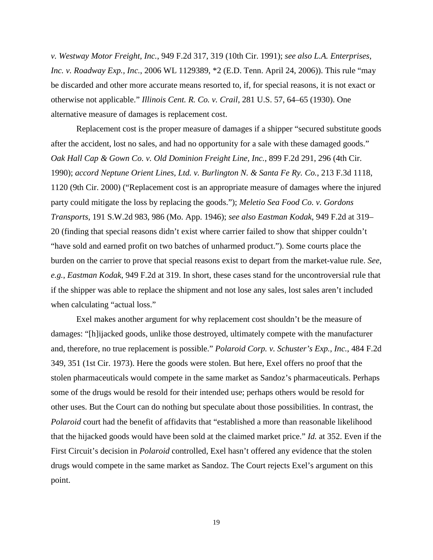*v. Westway Motor Freight, Inc.*, 949 F.2d 317, 319 (10th Cir. 1991); *see also L.A. Enterprises, Inc. v. Roadway Exp., Inc.*, 2006 WL 1129389, \*2 (E.D. Tenn. April 24, 2006)). This rule "may be discarded and other more accurate means resorted to, if, for special reasons, it is not exact or otherwise not applicable." *Illinois Cent. R. Co. v. Crail*, 281 U.S. 57, 64–65 (1930). One alternative measure of damages is replacement cost.

 Replacement cost is the proper measure of damages if a shipper "secured substitute goods after the accident, lost no sales, and had no opportunity for a sale with these damaged goods." *Oak Hall Cap & Gown Co. v. Old Dominion Freight Line, Inc.*, 899 F.2d 291, 296 (4th Cir. 1990); *accord Neptune Orient Lines, Ltd. v. Burlington N. & Santa Fe Ry. Co.*, 213 F.3d 1118, 1120 (9th Cir. 2000) ("Replacement cost is an appropriate measure of damages where the injured party could mitigate the loss by replacing the goods."); *[Meletio Sea Food Co. v. Gordons](https://1.next.westlaw.com/Link/Document/FullText?findType=Y&serNum=1946119022&pubNum=713&originatingDoc=Ie32af7b7971d11d9bdd1cfdd544ca3a4&refType=RP&fi=co_pp_sp_713_986&originationContext=document&transitionType=DocumentItem&contextData=(sc.UserEnteredCitation)#co_pp_sp_713_986)  Transports*[, 191 S.W.2d 983, 986 \(Mo. App. 1946\);](https://1.next.westlaw.com/Link/Document/FullText?findType=Y&serNum=1946119022&pubNum=713&originatingDoc=Ie32af7b7971d11d9bdd1cfdd544ca3a4&refType=RP&fi=co_pp_sp_713_986&originationContext=document&transitionType=DocumentItem&contextData=(sc.UserEnteredCitation)#co_pp_sp_713_986) *see also Eastman Kodak*, 949 F.2d at 319– 20 (finding that special reasons didn't exist where carrier failed to show that shipper couldn't "have sold and earned profit on two batches of unharmed product."). Some courts place the burden on the carrier to prove that special reasons exist to depart from the market-value rule. *See, e.g.*, *Eastman Kodak*, 949 F.2d at 319. In short, these cases stand for the uncontroversial rule that if the shipper was able to replace the shipment and not lose any sales, lost sales aren't included when calculating "actual loss."

 Exel makes another argument for why replacement cost shouldn't be the measure of damages: "[h]ijacked goods, unlike those destroyed, ultimately compete with the manufacturer and, therefore, no true replacement is possible." *Polaroid Corp. v. Schuster's Exp., Inc.*, 484 F.2d 349, 351 (1st Cir. 1973). Here the goods were stolen. But here, Exel offers no proof that the stolen pharmaceuticals would compete in the same market as Sandoz's pharmaceuticals. Perhaps some of the drugs would be resold for their intended use; perhaps others would be resold for other uses. But the Court can do nothing but speculate about those possibilities. In contrast, the *Polaroid* court had the benefit of affidavits that "established a more than reasonable likelihood that the hijacked goods would have been sold at the claimed market price." *Id.* at 352. Even if the First Circuit's decision in *Polaroid* controlled, Exel hasn't offered any evidence that the stolen drugs would compete in the same market as Sandoz. The Court rejects Exel's argument on this point.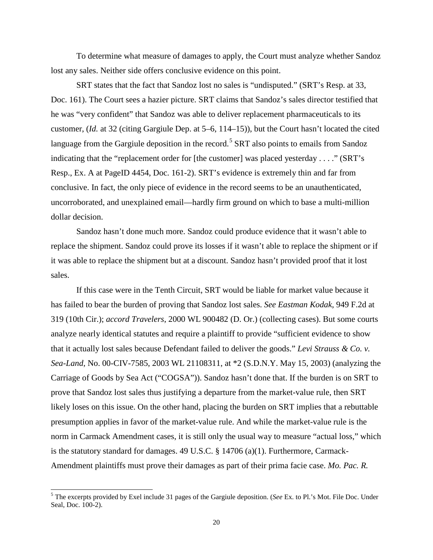To determine what measure of damages to apply, the Court must analyze whether Sandoz lost any sales. Neither side offers conclusive evidence on this point.

 SRT states that the fact that Sandoz lost no sales is "undisputed." (SRT's Resp. at 33, Doc. 161). The Court sees a hazier picture. SRT claims that Sandoz's sales director testified that he was "very confident" that Sandoz was able to deliver replacement pharmaceuticals to its customer, (*Id.* at 32 (citing Gargiule Dep. at 5–6, 114–15)), but the Court hasn't located the cited language from the Gargiule deposition in the record.<sup>[5](#page-19-0)</sup> SRT also points to emails from Sandoz indicating that the "replacement order for [the customer] was placed yesterday . . . ." (SRT's Resp., Ex. A at PageID 4454, Doc. 161-2). SRT's evidence is extremely thin and far from conclusive. In fact, the only piece of evidence in the record seems to be an unauthenticated, uncorroborated, and unexplained email—hardly firm ground on which to base a multi-million dollar decision.

 Sandoz hasn't done much more. Sandoz could produce evidence that it wasn't able to replace the shipment. Sandoz could prove its losses if it wasn't able to replace the shipment or if it was able to replace the shipment but at a discount. Sandoz hasn't provided proof that it lost sales.

If this case were in the Tenth Circuit, SRT would be liable for market value because it has failed to bear the burden of proving that Sandoz lost sales. *See Eastman Kodak*, 949 F.2d at 319 (10th Cir.); *accord Travelers*, 2000 WL 900482 (D. Or.) (collecting cases). But some courts analyze nearly identical statutes and require a plaintiff to provide "sufficient evidence to show that it actually lost sales because Defendant failed to deliver the goods." *Levi Strauss & Co. v. Sea-Land*, No. 00-CIV-7585, 2003 WL 21108311, at \*2 (S.D.N.Y. May 15, 2003) (analyzing the Carriage of Goods by Sea Act ("COGSA")). Sandoz hasn't done that. If the burden is on SRT to prove that Sandoz lost sales thus justifying a departure from the market-value rule, then SRT likely loses on this issue. On the other hand, placing the burden on SRT implies that a rebuttable presumption applies in favor of the market-value rule. And while the market-value rule is the norm in Carmack Amendment cases, it is still only the usual way to measure "actual loss," which is the statutory standard for damages. 49 U.S.C. § 14706 (a)(1). Furthermore, Carmack-Amendment plaintiffs must prove their damages as part of their prima facie case. *Mo. Pac. R.* 

 $\overline{a}$ 

<span id="page-19-0"></span><sup>5</sup> The excerpts provided by Exel include 31 pages of the Gargiule deposition. (*See* Ex. to Pl.'s Mot. File Doc. Under Seal, Doc. 100-2).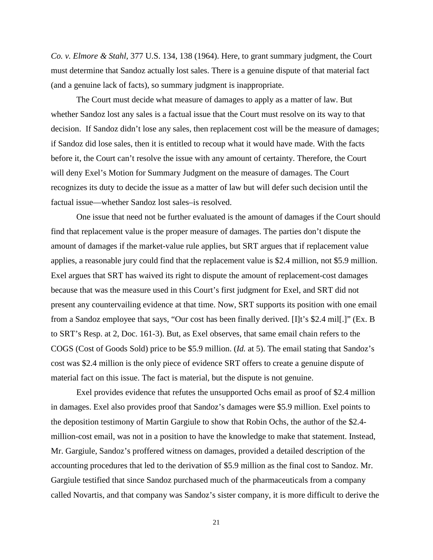*Co. v. Elmore & Stahl*, 377 U.S. 134, 138 (1964). Here, to grant summary judgment, the Court must determine that Sandoz actually lost sales. There is a genuine dispute of that material fact (and a genuine lack of facts), so summary judgment is inappropriate.

The Court must decide what measure of damages to apply as a matter of law. But whether Sandoz lost any sales is a factual issue that the Court must resolve on its way to that decision. If Sandoz didn't lose any sales, then replacement cost will be the measure of damages; if Sandoz did lose sales, then it is entitled to recoup what it would have made. With the facts before it, the Court can't resolve the issue with any amount of certainty. Therefore, the Court will deny Exel's Motion for Summary Judgment on the measure of damages. The Court recognizes its duty to decide the issue as a matter of law but will defer such decision until the factual issue—whether Sandoz lost sales–is resolved.

 One issue that need not be further evaluated is the amount of damages if the Court should find that replacement value is the proper measure of damages. The parties don't dispute the amount of damages if the market-value rule applies, but SRT argues that if replacement value applies, a reasonable jury could find that the replacement value is \$2.4 million, not \$5.9 million. Exel argues that SRT has waived its right to dispute the amount of replacement-cost damages because that was the measure used in this Court's first judgment for Exel, and SRT did not present any countervailing evidence at that time. Now, SRT supports its position with one email from a Sandoz employee that says, "Our cost has been finally derived. [I]t's \$2.4 mil[.]" (Ex. B to SRT's Resp. at 2, Doc. 161-3). But, as Exel observes, that same email chain refers to the COGS (Cost of Goods Sold) price to be \$5.9 million. (*Id.* at 5). The email stating that Sandoz's cost was \$2.4 million is the only piece of evidence SRT offers to create a genuine dispute of material fact on this issue. The fact is material, but the dispute is not genuine.

Exel provides evidence that refutes the unsupported Ochs email as proof of \$2.4 million in damages. Exel also provides proof that Sandoz's damages were \$5.9 million. Exel points to the deposition testimony of Martin Gargiule to show that Robin Ochs, the author of the \$2.4 million-cost email, was not in a position to have the knowledge to make that statement. Instead, Mr. Gargiule, Sandoz's proffered witness on damages, provided a detailed description of the accounting procedures that led to the derivation of \$5.9 million as the final cost to Sandoz. Mr. Gargiule testified that since Sandoz purchased much of the pharmaceuticals from a company called Novartis, and that company was Sandoz's sister company, it is more difficult to derive the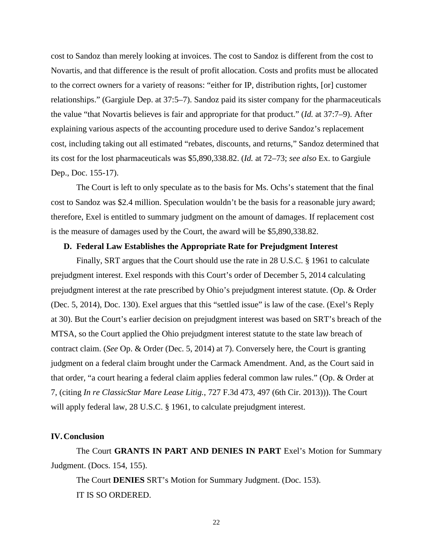cost to Sandoz than merely looking at invoices. The cost to Sandoz is different from the cost to Novartis, and that difference is the result of profit allocation. Costs and profits must be allocated to the correct owners for a variety of reasons: "either for IP, distribution rights, [or] customer relationships." (Gargiule Dep. at 37:5–7). Sandoz paid its sister company for the pharmaceuticals the value "that Novartis believes is fair and appropriate for that product." (*Id.* at 37:7–9). After explaining various aspects of the accounting procedure used to derive Sandoz's replacement cost, including taking out all estimated "rebates, discounts, and returns," Sandoz determined that its cost for the lost pharmaceuticals was \$5,890,338.82. (*Id.* at 72–73; *see also* Ex. to Gargiule Dep., Doc. 155-17).

 The Court is left to only speculate as to the basis for Ms. Ochs's statement that the final cost to Sandoz was \$2.4 million. Speculation wouldn't be the basis for a reasonable jury award; therefore, Exel is entitled to summary judgment on the amount of damages. If replacement cost is the measure of damages used by the Court, the award will be \$5,890,338.82.

### **D. Federal Law Establishes the Appropriate Rate for Prejudgment Interest**

 Finally, SRT argues that the Court should use the rate in 28 U.S.C. § 1961 to calculate prejudgment interest. Exel responds with this Court's order of December 5, 2014 calculating prejudgment interest at the rate prescribed by Ohio's prejudgment interest statute. (Op. & Order (Dec. 5, 2014), Doc. 130). Exel argues that this "settled issue" is law of the case. (Exel's Reply at 30). But the Court's earlier decision on prejudgment interest was based on SRT's breach of the MTSA, so the Court applied the Ohio prejudgment interest statute to the state law breach of contract claim. (*See* Op. & Order (Dec. 5, 2014) at 7). Conversely here, the Court is granting judgment on a federal claim brought under the Carmack Amendment. And, as the Court said in that order, "a court hearing a federal claim applies federal common law rules." (Op. & Order at 7, (citing *In re ClassicStar Mare Lease Litig.*, 727 F.3d 473, 497 (6th Cir. 2013))). The Court will apply federal law, 28 U.S.C. § 1961, to calculate prejudgment interest.

## **IV.Conclusion**

The Court **GRANTS IN PART AND DENIES IN PART** Exel's Motion for Summary Judgment. (Docs. 154, 155).

The Court **DENIES** SRT's Motion for Summary Judgment. (Doc. 153). IT IS SO ORDERED.